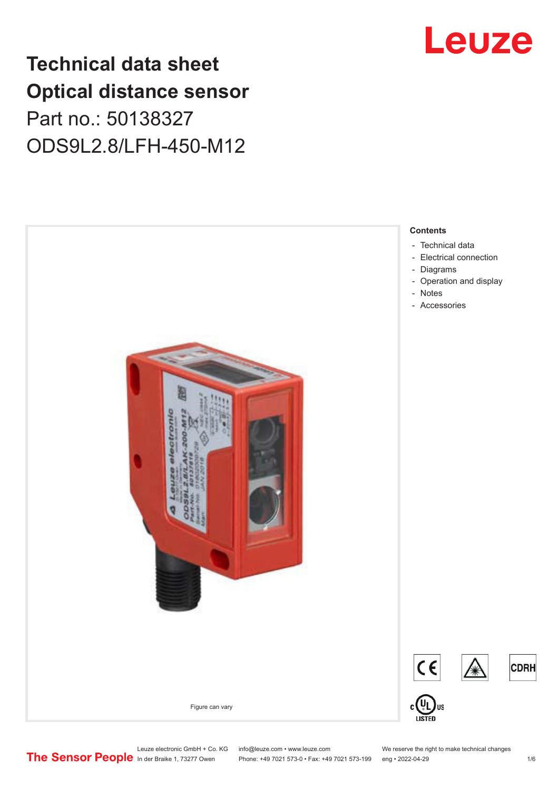## **Technical data sheet Optical distance sensor** Part no.: 50138327 ODS9L2.8/LFH-450-M12



# Leuze

Leuze electronic GmbH + Co. KG info@leuze.com • www.leuze.com We reserve the right to make technical changes<br> **The Sensor People** in der Braike 1, 73277 Owen Phone: +49 7021 573-0 • Fax: +49 7021 573-199 eng • 2022-04-29

Phone: +49 7021 573-0 • Fax: +49 7021 573-199 eng • 2022-04-29 1 metal is the match of the 1/6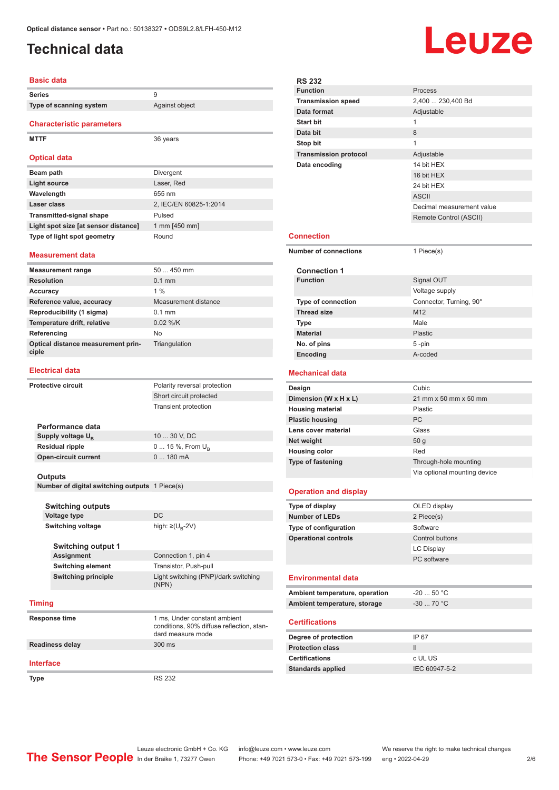## <span id="page-1-0"></span>**Technical data**

# Leuze

#### **Basic data Series** 9 **Type of scanning system** Against object **Characteristic parameters MTTF** 36 years **Optical data Beam path** Divergent **Light source** Laser, Red **Wavelength** 655 nm **Laser class** 2, IEC/EN 60825-1:2014 **Transmitted-signal shape** Pulsed Light spot size [at sensor distance] 1 mm [450 mm] **Type of light spot geometry** Round

#### **Measurement data**

| <b>Measurement range</b>                    | $50450$ mm           |
|---------------------------------------------|----------------------|
| <b>Resolution</b>                           | $0.1$ mm             |
| Accuracy                                    | $1\%$                |
| Reference value, accuracy                   | Measurement distance |
| Reproducibility (1 sigma)                   | $0.1$ mm             |
| Temperature drift, relative                 | $0.02$ %/K           |
| Referencing                                 | N <sub>o</sub>       |
| Optical distance measurement prin-<br>ciple | Triangulation        |

#### **Electrical data**

| <b>Protective circuit</b>                      |                               | Polarity reversal protection         |  |  |  |
|------------------------------------------------|-------------------------------|--------------------------------------|--|--|--|
|                                                |                               | Short circuit protected              |  |  |  |
|                                                |                               | <b>Transient protection</b>          |  |  |  |
|                                                |                               |                                      |  |  |  |
|                                                | Performance data              |                                      |  |  |  |
|                                                | Supply voltage U <sub>B</sub> | 10  30 V, DC                         |  |  |  |
|                                                | <b>Residual ripple</b>        | $0 15 \%$ , From $U_{\rm B}$         |  |  |  |
|                                                | <b>Open-circuit current</b>   | 0180mA                               |  |  |  |
|                                                |                               |                                      |  |  |  |
|                                                | Outputs                       |                                      |  |  |  |
| Number of digital switching outputs 1 Piece(s) |                               |                                      |  |  |  |
|                                                |                               |                                      |  |  |  |
|                                                | <b>Switching outputs</b>      |                                      |  |  |  |
|                                                | <b>Voltage type</b>           | <b>DC</b>                            |  |  |  |
|                                                | <b>Switching voltage</b>      | high: $\geq$ (U <sub>R</sub> -2V)    |  |  |  |
|                                                |                               |                                      |  |  |  |
|                                                | <b>Switching output 1</b>     |                                      |  |  |  |
|                                                | Assignment                    | Connection 1, pin 4                  |  |  |  |
|                                                | <b>Switching element</b>      | Transistor, Push-pull                |  |  |  |
|                                                | <b>Switching principle</b>    | Light switching (PNP)/dark switching |  |  |  |
|                                                |                               | (NPN)                                |  |  |  |
|                                                |                               |                                      |  |  |  |

#### **Timing**

| Response time    | 1 ms, Under constant ambient<br>conditions, 90% diffuse reflection, stan-<br>dard measure mode |
|------------------|------------------------------------------------------------------------------------------------|
| Readiness delay  | $300$ ms                                                                                       |
| <b>Interface</b> |                                                                                                |

Type RS 232

|  | <b>RS 232</b>                  |                              |  |
|--|--------------------------------|------------------------------|--|
|  | <b>Function</b>                | Process                      |  |
|  | <b>Transmission speed</b>      | 2,400  230,400 Bd            |  |
|  | Data format                    | Adjustable                   |  |
|  | <b>Start bit</b>               | 1                            |  |
|  | Data bit                       | 8                            |  |
|  | Stop bit                       | 1                            |  |
|  | <b>Transmission protocol</b>   | Adjustable                   |  |
|  | Data encoding                  | 14 bit HEX                   |  |
|  |                                | 16 bit HEX                   |  |
|  |                                | 24 bit HEX                   |  |
|  |                                | <b>ASCII</b>                 |  |
|  |                                | Decimal measurement value    |  |
|  |                                | Remote Control (ASCII)       |  |
|  |                                |                              |  |
|  | <b>Connection</b>              |                              |  |
|  | <b>Number of connections</b>   | 1 Piece(s)                   |  |
|  |                                |                              |  |
|  | <b>Connection 1</b>            |                              |  |
|  | <b>Function</b>                | Signal OUT                   |  |
|  |                                | Voltage supply               |  |
|  | <b>Type of connection</b>      | Connector, Turning, 90°      |  |
|  | <b>Thread size</b>             | M <sub>12</sub>              |  |
|  | <b>Type</b>                    | Male                         |  |
|  | <b>Material</b>                | <b>Plastic</b>               |  |
|  | No. of pins                    | 5 -pin                       |  |
|  | Encoding                       | A-coded                      |  |
|  |                                |                              |  |
|  | <b>Mechanical data</b>         |                              |  |
|  | Design                         | Cubic                        |  |
|  | Dimension (W x H x L)          | 21 mm x 50 mm x 50 mm        |  |
|  | <b>Housing material</b>        | Plastic                      |  |
|  | <b>Plastic housing</b>         | <b>PC</b>                    |  |
|  | Lens cover material            | Glass                        |  |
|  | Net weight                     | 50 <sub>g</sub>              |  |
|  | <b>Housing color</b>           | Red                          |  |
|  | <b>Type of fastening</b>       | Through-hole mounting        |  |
|  |                                | Via optional mounting device |  |
|  |                                |                              |  |
|  | <b>Operation and display</b>   |                              |  |
|  | Type of display                | OLED display                 |  |
|  | <b>Number of LEDs</b>          | 2 Piece(s)                   |  |
|  | Type of configuration          | Software                     |  |
|  | <b>Operational controls</b>    | Control buttons              |  |
|  |                                | <b>LC Display</b>            |  |
|  |                                | PC software                  |  |
|  |                                |                              |  |
|  | <b>Environmental data</b>      |                              |  |
|  | Ambient temperature, operation | $-20$ 50 °C                  |  |
|  | Ambient temperature, storage   | $-30$ 70 °C                  |  |
|  | <b>Certifications</b>          |                              |  |
|  | Degree of protection           | IP 67                        |  |
|  | <b>Protection class</b>        | $\mathbf{II}$                |  |
|  | <b>Certifications</b>          | c UL US                      |  |
|  | <b>Standards applied</b>       | IEC 60947-5-2                |  |
|  |                                |                              |  |
|  |                                |                              |  |
|  |                                |                              |  |

÷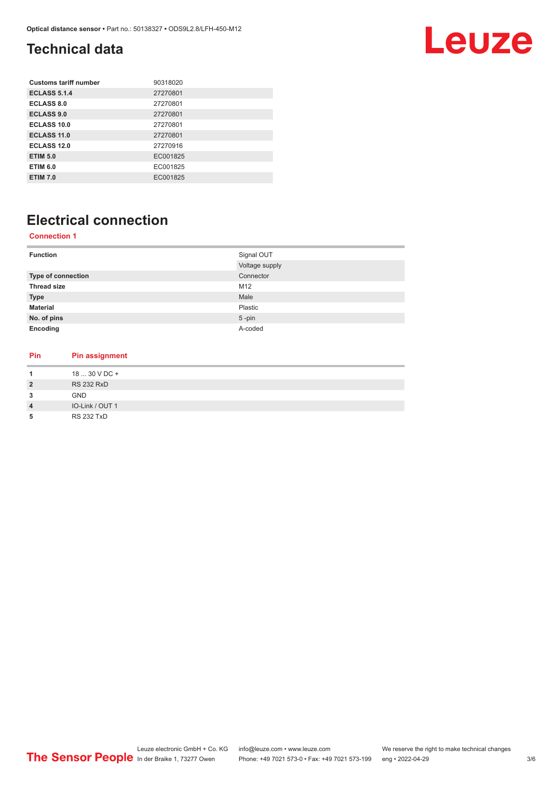## <span id="page-2-0"></span>**Technical data**

# Leuze

| 90318020 |
|----------|
| 27270801 |
| 27270801 |
| 27270801 |
| 27270801 |
| 27270801 |
| 27270916 |
| EC001825 |
| EC001825 |
| EC001825 |
|          |

## **Electrical connection**

#### **Connection 1**

| <b>Function</b>       | Signal OUT     |
|-----------------------|----------------|
|                       | Voltage supply |
| Type of connection    | Connector      |
| <b>Thread size</b>    | M12            |
| <b>Type</b>           | Male           |
| <b>Material</b>       | Plastic        |
| No. of pins           | $5$ -pin       |
| Encoding              | A-coded        |
|                       |                |
|                       |                |
| Pin<br>Pin assignment |                |

| 1              | 18  30 V DC +     |
|----------------|-------------------|
| $\overline{2}$ | <b>RS 232 RxD</b> |
| 3              | GND               |
| $\overline{4}$ | IO-Link / OUT 1   |
| 5              | <b>RS 232 TxD</b> |
|                |                   |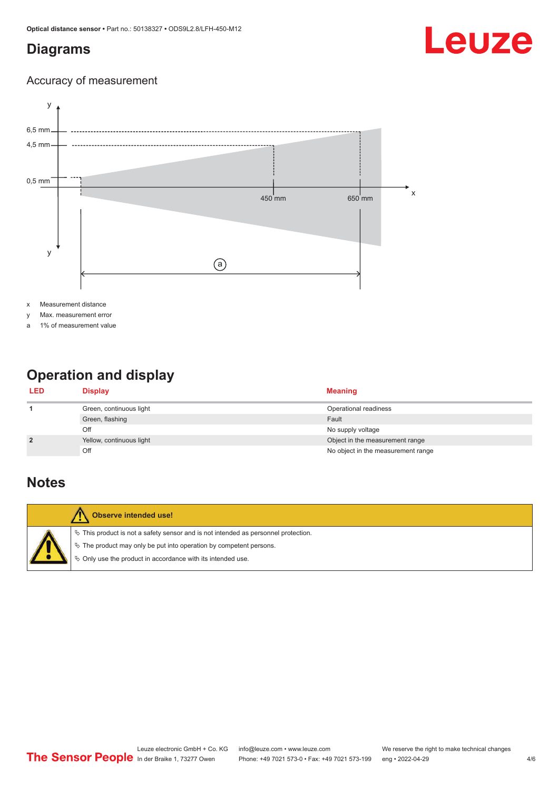### <span id="page-3-0"></span>**Diagrams**

# Leuze

#### Accuracy of measurement



x Measurement distance

y Max. measurement error

a 1% of measurement value

## **Operation and display**

| <b>LED</b>     | <b>Display</b>           | <b>Meaning</b>                     |
|----------------|--------------------------|------------------------------------|
|                | Green, continuous light  | Operational readiness              |
|                | Green, flashing          | Fault                              |
|                | Off                      | No supply voltage                  |
| $\overline{2}$ | Yellow, continuous light | Object in the measurement range    |
|                | Off                      | No object in the measurement range |

### **Notes**

| Observe intended use!                                                                                                                                                                                                         |
|-------------------------------------------------------------------------------------------------------------------------------------------------------------------------------------------------------------------------------|
| $\%$ This product is not a safety sensor and is not intended as personnel protection.<br>$\%$ The product may only be put into operation by competent persons.<br>§ Only use the product in accordance with its intended use. |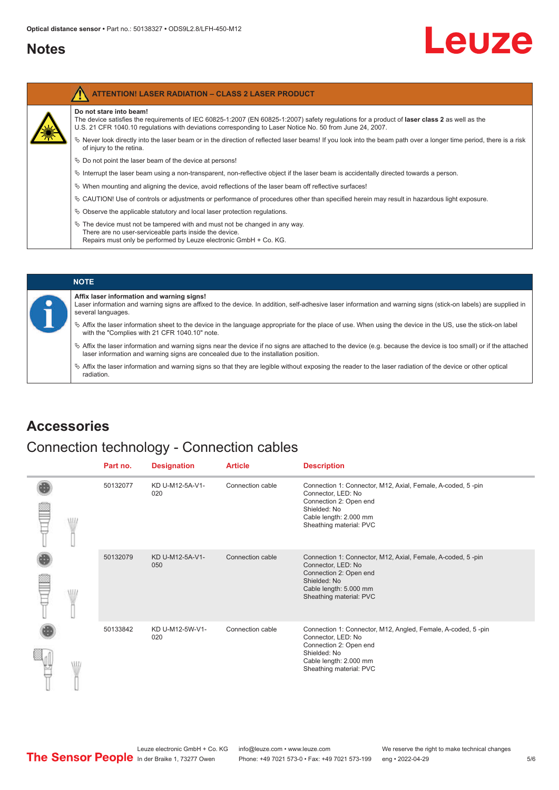#### <span id="page-4-0"></span>**Notes**

ľ

# Leuze

| <b>ATTENTION! LASER RADIATION - CLASS 2 LASER PRODUCT</b>                                                                                                                                                                                                                           |
|-------------------------------------------------------------------------------------------------------------------------------------------------------------------------------------------------------------------------------------------------------------------------------------|
| Do not stare into beam!<br>The device satisfies the requirements of IEC 60825-1:2007 (EN 60825-1:2007) safety regulations for a product of laser class 2 as well as the<br>U.S. 21 CFR 1040.10 regulations with deviations corresponding to Laser Notice No. 50 from June 24, 2007. |
| Never look directly into the laser beam or in the direction of reflected laser beams! If you look into the beam path over a longer time period, there is a risk<br>of injury to the retina.                                                                                         |
| $\&$ Do not point the laser beam of the device at persons!                                                                                                                                                                                                                          |
| $\%$ Interrupt the laser beam using a non-transparent, non-reflective object if the laser beam is accidentally directed towards a person.                                                                                                                                           |
| $\%$ When mounting and aligning the device, avoid reflections of the laser beam off reflective surfaces!                                                                                                                                                                            |
| $\%$ CAUTION! Use of controls or adjustments or performance of procedures other than specified herein may result in hazardous light exposure.                                                                                                                                       |
| $\&$ Observe the applicable statutory and local laser protection regulations.                                                                                                                                                                                                       |
| $\%$ The device must not be tampered with and must not be changed in any way.<br>There are no user-serviceable parts inside the device.<br>Repairs must only be performed by Leuze electronic GmbH + Co. KG.                                                                        |

## **NOTE**

#### **Affix laser information and warning signs!**

- Laser information and warning signs are affixed to the device. In addition, self-adhesive laser information and warning signs (stick-on labels) are supplied in several languages.
- ª Affix the laser information sheet to the device in the language appropriate for the place of use. When using the device in the US, use the stick-on label with the "Complies with 21 CFR 1040.10" note.
- ª Affix the laser information and warning signs near the device if no signs are attached to the device (e.g. because the device is too small) or if the attached laser information and warning signs are concealed due to the installation position.
- $\%$  Affix the laser information and warning signs so that they are legible without exposing the reader to the laser radiation of the device or other optical radiation.

### **Accessories**

#### Connection technology - Connection cables

|  |   | Part no. | <b>Designation</b>     | <b>Article</b>   | <b>Description</b>                                                                                                                                                                |
|--|---|----------|------------------------|------------------|-----------------------------------------------------------------------------------------------------------------------------------------------------------------------------------|
|  | W | 50132077 | KD U-M12-5A-V1-<br>020 | Connection cable | Connection 1: Connector, M12, Axial, Female, A-coded, 5-pin<br>Connector, LED: No<br>Connection 2: Open end<br>Shielded: No<br>Cable length: 2.000 mm<br>Sheathing material: PVC  |
|  |   | 50132079 | KD U-M12-5A-V1-<br>050 | Connection cable | Connection 1: Connector, M12, Axial, Female, A-coded, 5-pin<br>Connector, LED: No<br>Connection 2: Open end<br>Shielded: No<br>Cable length: 5.000 mm<br>Sheathing material: PVC  |
|  |   | 50133842 | KD U-M12-5W-V1-<br>020 | Connection cable | Connection 1: Connector, M12, Angled, Female, A-coded, 5-pin<br>Connector, LED: No<br>Connection 2: Open end<br>Shielded: No<br>Cable length: 2.000 mm<br>Sheathing material: PVC |